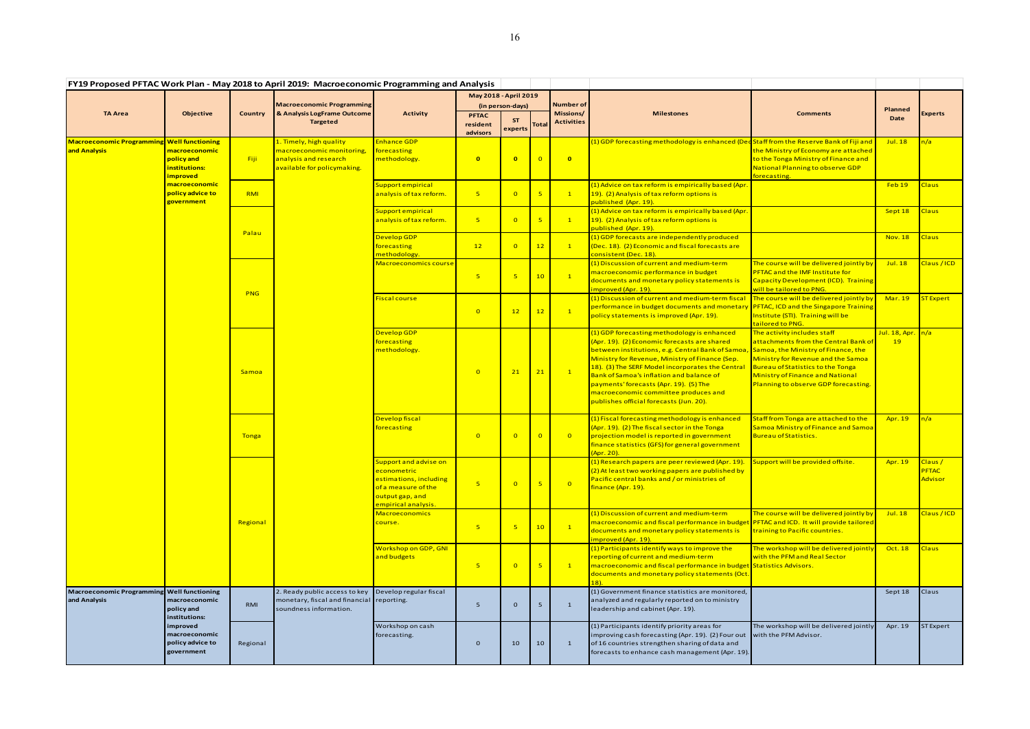|                                                            | FY19 Proposed PFTAC Work Plan - May 2018 to April 2019: Macroeconomic Programming and Analysis                                                                  |                |                                                                                                                  |                                                                                                                                   |                                      |                      |                 |                                |                                                                                                                                                                                                                                                                                                                                                                                                                                  |                                                                                                                                                                                                                                                                          |                     |                                                 |
|------------------------------------------------------------|-----------------------------------------------------------------------------------------------------------------------------------------------------------------|----------------|------------------------------------------------------------------------------------------------------------------|-----------------------------------------------------------------------------------------------------------------------------------|--------------------------------------|----------------------|-----------------|--------------------------------|----------------------------------------------------------------------------------------------------------------------------------------------------------------------------------------------------------------------------------------------------------------------------------------------------------------------------------------------------------------------------------------------------------------------------------|--------------------------------------------------------------------------------------------------------------------------------------------------------------------------------------------------------------------------------------------------------------------------|---------------------|-------------------------------------------------|
| <b>TA Area</b>                                             | <b>Objective</b>                                                                                                                                                | <b>Country</b> | <b>Macroeconomic Programming</b><br>& Analysis LogFrame Outcome<br><b>Targeted</b>                               |                                                                                                                                   | May 2018 - April 2019                |                      |                 |                                |                                                                                                                                                                                                                                                                                                                                                                                                                                  |                                                                                                                                                                                                                                                                          |                     |                                                 |
|                                                            |                                                                                                                                                                 |                |                                                                                                                  | <b>Activity</b>                                                                                                                   | (in person-days)                     |                      |                 | Number of                      |                                                                                                                                                                                                                                                                                                                                                                                                                                  |                                                                                                                                                                                                                                                                          | Planned             |                                                 |
|                                                            |                                                                                                                                                                 |                |                                                                                                                  |                                                                                                                                   | <b>PFTAC</b><br>resident<br>advisors | <b>ST</b><br>experts | <b>Total</b>    | Missions/<br><b>Activities</b> | <b>Milestones</b>                                                                                                                                                                                                                                                                                                                                                                                                                | <b>Comments</b>                                                                                                                                                                                                                                                          | Date                | <b>Experts</b>                                  |
| <b>Macroeconomic Programming</b><br>and Analysis           | <b>Well functioning</b><br><mark>macroeconomic</mark><br>policy and<br>institutions:<br>mproved<br><mark>macroeconomic</mark><br>policy advice to<br>government | Fiji           | 1. Timely, high quality<br>macroeconomic monitoring,<br>analysis and research<br>available for policymaking.     | <b>Enhance GDP</b><br>forecasting<br>methodology.                                                                                 | $\overline{\mathbf{0}}$              | $\overline{0}$       | $\overline{0}$  | $\bullet$                      | (1) GDP forecasting methodology is enhanced (Dec Staff from the Reserve Bank of Fiji and                                                                                                                                                                                                                                                                                                                                         | the Ministry of Economy are attached<br>to the Tonga Ministry of Finance and<br>National Planning to observe GDP<br>forecasting.                                                                                                                                         | <b>Jul. 18</b>      | n/a                                             |
|                                                            |                                                                                                                                                                 | <b>RMI</b>     |                                                                                                                  | Support empirical<br>analysis of tax reform.                                                                                      | 5 <sub>5</sub>                       | $\overline{0}$       | 5               | $\mathbf{1}$                   | (1) Advice on tax reform is empirically based (Apr<br>19). (2) Analysis of tax reform options is<br>published (Apr. 19).                                                                                                                                                                                                                                                                                                         |                                                                                                                                                                                                                                                                          | Feb19               | Claus                                           |
|                                                            |                                                                                                                                                                 | Palau          |                                                                                                                  | Support empirical<br>analysis of tax reform.                                                                                      | 5 <sup>2</sup>                       | $\Omega$             | -5              | $\mathbf{1}$                   | (1) Advice on tax reform is empirically based (Apr<br>19). (2) Analysis of tax reform options is<br>published (Apr. 19).                                                                                                                                                                                                                                                                                                         |                                                                                                                                                                                                                                                                          | Sept 18             | Claus                                           |
|                                                            |                                                                                                                                                                 |                |                                                                                                                  | <b>Develop GDP</b><br>forecasting<br>methodology.                                                                                 | 12                                   | $\Omega$             | 12              | $\mathbf{1}$                   | (1) GDP forecasts are independently produced<br>(Dec. 18). (2) Economic and fiscal forecasts are<br>consistent (Dec. 18).                                                                                                                                                                                                                                                                                                        |                                                                                                                                                                                                                                                                          | <b>Nov. 18</b>      | Claus                                           |
|                                                            |                                                                                                                                                                 | <b>PNG</b>     |                                                                                                                  | Macroeconomics course                                                                                                             | 5 <sub>5</sub>                       |                      | 10              | $\mathbf{1}$                   | (1) Discussion of current and medium-term<br>macroeconomic performance in budget<br>documents and monetary policy statements is<br><mark>improved (Apr. 19).</mark>                                                                                                                                                                                                                                                              | The course will be delivered jointly by<br>PFTAC and the IMF Institute for<br><b>Capacity Development (ICD). Training</b><br>will be tailored to PNG.                                                                                                                    | Jul. 18             | Claus / ICD                                     |
|                                                            |                                                                                                                                                                 |                |                                                                                                                  | <b>Fiscal course</b>                                                                                                              | $\overline{0}$                       | 12                   | 12              | $\vert 1 \vert$                | (1) Discussion of current and medium-term fiscal<br>performance in budget documents and monetary<br>policy statements is improved (Apr. 19).                                                                                                                                                                                                                                                                                     | The course will be delivered jointly by<br>PFTAC, ICD and the Singapore Training<br>Institute (STI). Training will be<br>tailored to PNG.                                                                                                                                | <b>Mar. 19</b>      | <b>ST Expert</b>                                |
|                                                            |                                                                                                                                                                 | Samoa          |                                                                                                                  | <b>Develop GDP</b><br>forecasting<br>methodology.                                                                                 | $\overline{0}$                       | 21                   | 21              | $\mathbf{1}$                   | (1) GDP forecasting methodology is enhanced<br>(Apr. 19). (2) Economic forecasts are shared<br>between institutions, e.g. Central Bank of Samoa,<br>Ministry for Revenue, Ministry of Finance (Sep.<br>18). (3) The SERF Model incorporates the Central<br>Bank of Samoa's inflation and balance of<br>payments' forecasts (Apr. 19). (5) The<br>macroeconomic committee produces and<br>publishes official forecasts (Jun. 20). | The activity includes staff<br>attachments from the Central Bank of<br>Samoa, the Ministry of Finance, the<br>Ministry for Revenue and the Samoa<br><b>Bureau of Statistics to the Tonga</b><br>Ministry of Finance and National<br>Planning to observe GDP forecasting. | Jul. 18, Apr.<br>19 | n/a                                             |
|                                                            |                                                                                                                                                                 | Tonga          |                                                                                                                  | Develop fiscal<br>forecasting                                                                                                     | $\overline{0}$                       | $\overline{0}$       | $\overline{0}$  | $\overline{0}$                 | (1) Fiscal forecasting methodology is enhanced<br>(Apr. 19). (2) The fiscal sector in the Tonga<br>projection model is reported in government<br>finance statistics (GFS) for general government<br>(Apr. 20).                                                                                                                                                                                                                   | Staff from Tonga are attached to the<br>Samoa Ministry of Finance and Samoa<br>Bureau of Statistics.                                                                                                                                                                     | Apr. 19             | n/a                                             |
|                                                            |                                                                                                                                                                 | Regional       |                                                                                                                  | Support and advise on<br>econometric l<br>estimations, including<br>of a measure of the<br>output gap, and<br>empirical analysis. | 5                                    | $\Omega$             | $5\phantom{a}$  | $\overline{0}$                 | (1) Research papers are peer reviewed (Apr. 19).<br>(2) At least two working papers are published by<br>Pacific central banks and / or ministries of<br>finance (Apr. 19).                                                                                                                                                                                                                                                       | Support will be provided offsite.                                                                                                                                                                                                                                        | Apr. 19             | Claus /<br><b>PFTAC</b><br><mark>Advisor</mark> |
|                                                            |                                                                                                                                                                 |                |                                                                                                                  | <b>Macroeconomics</b><br><mark>course.</mark>                                                                                     | 5 <sub>o</sub>                       | 5 <sub>o</sub>       | 10 <sub>1</sub> | $\vert 1 \vert$                | (1) Discussion of current and medium-term<br>macroeconomic and fiscal performance in budget PFTAC and ICD. It will provide tailored<br>documents and monetary policy statements is<br><mark>improved (Apr. 19).</mark>                                                                                                                                                                                                           | The course will be delivered jointly by<br>training to Pacific countries.                                                                                                                                                                                                | Jul. 18             | Claus / ICD                                     |
|                                                            |                                                                                                                                                                 |                |                                                                                                                  | <b>Workshop on GDP, GNI</b><br>and budgets                                                                                        | 5 <sub>5</sub>                       | $\overline{0}$       | -5              | $\mathbf{1}$                   | (1) Participants identify ways to improve the<br>reporting of current and medium-term<br>macroeconomic and fiscal performance in budget Statistics Advisors.<br>documents and monetary policy statements (Oct                                                                                                                                                                                                                    | The workshop will be delivered jointly<br>with the PFM and Real Sector                                                                                                                                                                                                   | Oct. 18             | <b>Claus</b>                                    |
| Macroeconomic Programming Well functioning<br>and Analysis | macroeconomic<br>policy and<br>institutions:<br>improved<br>macroeconomic<br>policy advice to<br>government                                                     | <b>RMI</b>     | 2. Ready public access to key<br>monetary, fiscal and financial reporting.<br>soundness information.<br>Regional | Develop regular fiscal                                                                                                            | 5                                    | $\Omega$             | 5               | $\mathbf{1}$                   | (1) Government finance statistics are monitored,<br>analyzed and regularly reported on to ministry<br>leadership and cabinet (Apr. 19).                                                                                                                                                                                                                                                                                          |                                                                                                                                                                                                                                                                          | Sept 18             | <b>Claus</b>                                    |
|                                                            |                                                                                                                                                                 |                |                                                                                                                  | Workshop on cash<br>forecasting.                                                                                                  | $\mathbf{0}$                         | 10                   | 10              | $\mathbf{1}$                   | (1) Participants identify priority areas for<br>improving cash forecasting (Apr. 19). (2) Four out<br>of 16 countries strengthen sharing of data and<br>forecasts to enhance cash management (Apr. 19).                                                                                                                                                                                                                          | The workshop will be delivered jointly<br>with the PFM Advisor.                                                                                                                                                                                                          | Apr. 19             | <b>ST Expert</b>                                |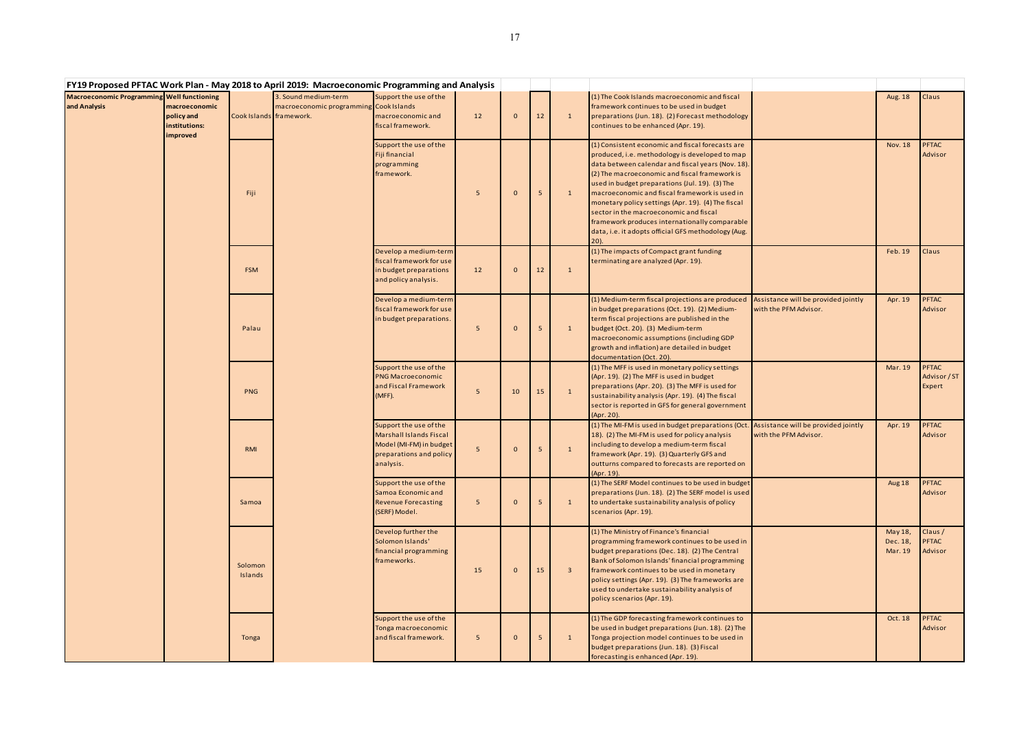|                                                            |                                                          |                    | FY19 Proposed PFTAC Work Plan - May 2018 to April 2019: Macroeconomic Programming and Analysis |                                                                                                                             |    |          |    |                         |                                                                                                                                                                                                                                                                                                                                                                                                                                                                                                                             |                                                              |                                |                                        |
|------------------------------------------------------------|----------------------------------------------------------|--------------------|------------------------------------------------------------------------------------------------|-----------------------------------------------------------------------------------------------------------------------------|----|----------|----|-------------------------|-----------------------------------------------------------------------------------------------------------------------------------------------------------------------------------------------------------------------------------------------------------------------------------------------------------------------------------------------------------------------------------------------------------------------------------------------------------------------------------------------------------------------------|--------------------------------------------------------------|--------------------------------|----------------------------------------|
| Macroeconomic Programming Well functioning<br>and Analysis | macroeconomic<br>policy and<br>institutions:<br>improved |                    | 3. Sound medium-term<br>macroeconomic programming Cook Islands<br>Cook Islands framework.      | Support the use of the<br>macroeconomic and<br>fiscal framework.                                                            | 12 | $\Omega$ | 12 | $\mathbf{1}$            | (1) The Cook Islands macroeconomic and fiscal<br>framework continues to be used in budget<br>preparations (Jun. 18). (2) Forecast methodology<br>continues to be enhanced (Apr. 19).                                                                                                                                                                                                                                                                                                                                        |                                                              | <b>Aug. 18</b>                 | Claus                                  |
|                                                            |                                                          | Fiji               |                                                                                                | Support the use of the<br>Fiji financial<br>programming<br>framework.                                                       | 5  | $\Omega$ | -5 | $\mathbf{1}$            | (1) Consistent economic and fiscal forecasts are<br>produced, i.e. methodology is developed to map<br>data between calendar and fiscal years (Nov. 18).<br>(2) The macroeconomic and fiscal framework is<br>used in budget preparations (Jul. 19). (3) The<br>macroeconomic and fiscal framework is used in<br>monetary policy settings (Apr. 19). (4) The fiscal<br>sector in the macroeconomic and fiscal<br>framework produces internationally comparable<br>data, i.e. it adopts official GFS methodology (Aug.<br>20). |                                                              | <b>Nov. 18</b>                 | <b>PFTAC</b><br>Advisor                |
|                                                            |                                                          | <b>FSM</b>         |                                                                                                | Develop a medium-term<br>fiscal framework for use<br>in budget preparations<br>and policy analysis.                         | 12 | $\Omega$ | 12 | $\mathbf{1}$            | (1) The impacts of Compact grant funding<br>terminating are analyzed (Apr. 19).                                                                                                                                                                                                                                                                                                                                                                                                                                             |                                                              | Feb. 19                        | Claus                                  |
|                                                            |                                                          | Palau              |                                                                                                | Develop a medium-term<br>fiscal framework for use<br>in budget preparations.                                                | 5  | $\Omega$ | -5 | $\mathbf{1}$            | (1) Medium-term fiscal projections are produced<br>in budget preparations (Oct. 19). (2) Medium-<br>term fiscal projections are published in the<br>budget (Oct. 20). (3) Medium-term<br>macroeconomic assumptions (including GDP<br>growth and inflation) are detailed in budget<br>documentation (Oct. 20).                                                                                                                                                                                                               | Assistance will be provided jointly<br>with the PFM Advisor. | Apr. 19                        | <b>PFTAC</b><br>Advisor                |
|                                                            |                                                          | <b>PNG</b>         |                                                                                                | Support the use of the<br><b>PNG Macroeconomic</b><br>and Fiscal Framework<br>(MFF).                                        | 5  | 10       | 15 | $\mathbf{1}$            | (1) The MFF is used in monetary policy settings<br>(Apr. 19). (2) The MFF is used in budget<br>preparations (Apr. 20). (3) The MFF is used for<br>sustainability analysis (Apr. 19). (4) The fiscal<br>sector is reported in GFS for general government<br>(Apr. 20).                                                                                                                                                                                                                                                       |                                                              | Mar. 19                        | <b>PFTAC</b><br>Advisor / ST<br>Expert |
|                                                            |                                                          | <b>RMI</b>         |                                                                                                | Support the use of the<br><b>Marshall Islands Fiscal</b><br>Model (MI-FM) in budget<br>preparations and policy<br>analysis. | 5  |          |    | $\mathbf{1}$            | (1) The MI-FM is used in budget preparations (Oct. Assistance will be provided jointly<br>18). (2) The MI-FM is used for policy analysis<br>including to develop a medium-term fiscal<br>framework (Apr. 19). (3) Quarterly GFS and<br>outturns compared to forecasts are reported on<br>(Apr. 19).                                                                                                                                                                                                                         | with the PFM Advisor.                                        | Apr. 19                        | <b>PFTAC</b><br>Advisor                |
|                                                            |                                                          | Samoa              |                                                                                                | Support the use of the<br>Samoa Economic and<br><b>Revenue Forecasting</b><br>(SERF) Model.                                 | 5  | $\Omega$ | -5 | $\mathbf{1}$            | (1) The SERF Model continues to be used in budget<br>preparations (Jun. 18). (2) The SERF model is used<br>to undertake sustainability analysis of policy<br>scenarios (Apr. 19).                                                                                                                                                                                                                                                                                                                                           |                                                              | Aug 18                         | <b>PFTAC</b><br>Advisor                |
|                                                            |                                                          | Solomon<br>Islands |                                                                                                | Develop further the<br>Solomon Islands'<br>financial programming<br>frameworks.                                             | 15 | $\Omega$ | 15 | $\overline{\mathbf{3}}$ | (1) The Ministry of Finance's financial<br>programming framework continues to be used in<br>budget preparations (Dec. 18). (2) The Central<br>Bank of Solomon Islands' financial programming<br>framework continues to be used in monetary<br>policy settings (Apr. 19). (3) The frameworks are<br>used to undertake sustainability analysis of<br>policy scenarios (Apr. 19).                                                                                                                                              |                                                              | May 18,<br>Dec. 18,<br>Mar. 19 | Claus /<br><b>PFTAC</b><br>Advisor     |
|                                                            |                                                          | Tonga              |                                                                                                | Support the use of the<br>Tonga macroeconomic<br>and fiscal framework.                                                      | 5  | $\Omega$ | 5  | $\mathbf{1}$            | (1) The GDP forecasting framework continues to<br>be used in budget preparations (Jun. 18). (2) The<br>Tonga projection model continues to be used in<br>budget preparations (Jun. 18). (3) Fiscal<br>forecasting is enhanced (Apr. 19).                                                                                                                                                                                                                                                                                    |                                                              | Oct. 18                        | <b>PFTAC</b><br>Advisor                |